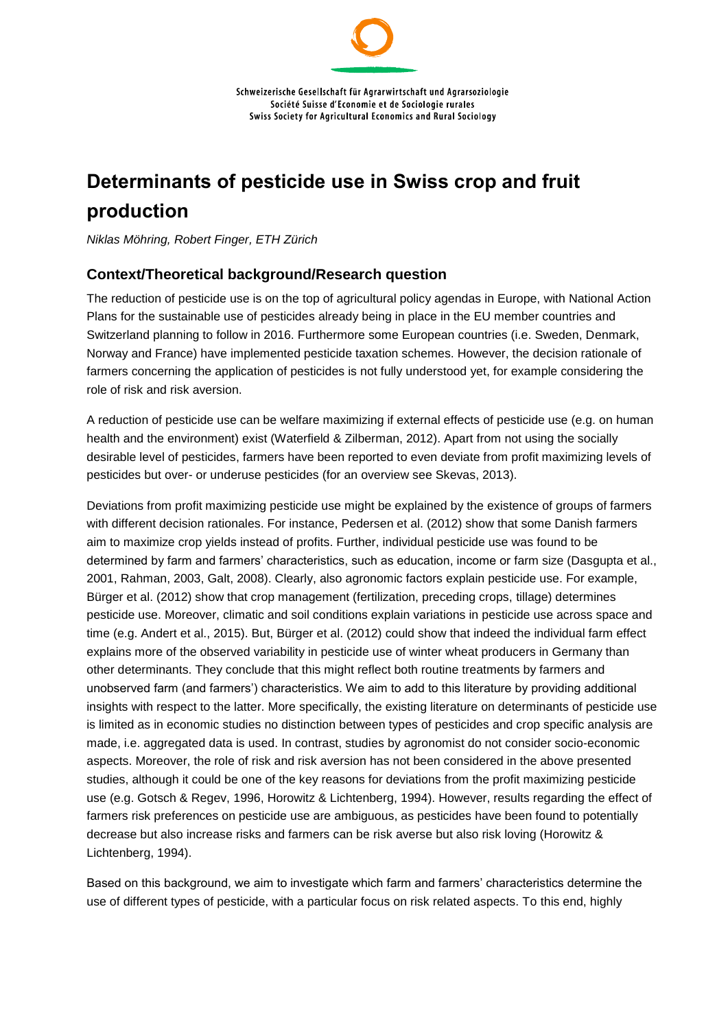# **Determinants of pesticide use in Swiss crop and fruit production**

*Niklas Möhring, Robert Finger, ETH Zürich*

## **Context/Theoretical background/Research question**

The reduction of pesticide use is on the top of agricultural policy agendas in Europe, with National Action Plans for the sustainable use of pesticides already being in place in the EU member countries and Switzerland planning to follow in 2016. Furthermore some European countries (i.e. Sweden, Denmark, Norway and France) have implemented pesticide taxation schemes. However, the decision rationale of farmers concerning the application of pesticides is not fully understood yet, for example considering the role of risk and risk aversion.

A reduction of pesticide use can be welfare maximizing if external effects of pesticide use (e.g. on human health and the environment) exist (Waterfield & Zilberman, 2012). Apart from not using the socially desirable level of pesticides, farmers have been reported to even deviate from profit maximizing levels of pesticides but over- or underuse pesticides (for an overview see Skevas, 2013).

Deviations from profit maximizing pesticide use might be explained by the existence of groups of farmers with different decision rationales. For instance, Pedersen et al. (2012) show that some Danish farmers aim to maximize crop yields instead of profits. Further, individual pesticide use was found to be determined by farm and farmers' characteristics, such as education, income or farm size (Dasgupta et al., 2001, Rahman, 2003, Galt, 2008). Clearly, also agronomic factors explain pesticide use. For example, Bürger et al. (2012) show that crop management (fertilization, preceding crops, tillage) determines pesticide use. Moreover, climatic and soil conditions explain variations in pesticide use across space and time (e.g. Andert et al., 2015). But, Bürger et al. (2012) could show that indeed the individual farm effect explains more of the observed variability in pesticide use of winter wheat producers in Germany than other determinants. They conclude that this might reflect both routine treatments by farmers and unobserved farm (and farmers') characteristics. We aim to add to this literature by providing additional insights with respect to the latter. More specifically, the existing literature on determinants of pesticide use is limited as in economic studies no distinction between types of pesticides and crop specific analysis are made, i.e. aggregated data is used. In contrast, studies by agronomist do not consider socio-economic aspects. Moreover, the role of risk and risk aversion has not been considered in the above presented studies, although it could be one of the key reasons for deviations from the profit maximizing pesticide use (e.g. Gotsch & Regev, 1996, Horowitz & Lichtenberg, 1994). However, results regarding the effect of farmers risk preferences on pesticide use are ambiguous, as pesticides have been found to potentially decrease but also increase risks and farmers can be risk averse but also risk loving (Horowitz & Lichtenberg, 1994).

Based on this background, we aim to investigate which farm and farmers' characteristics determine the use of different types of pesticide, with a particular focus on risk related aspects. To this end, highly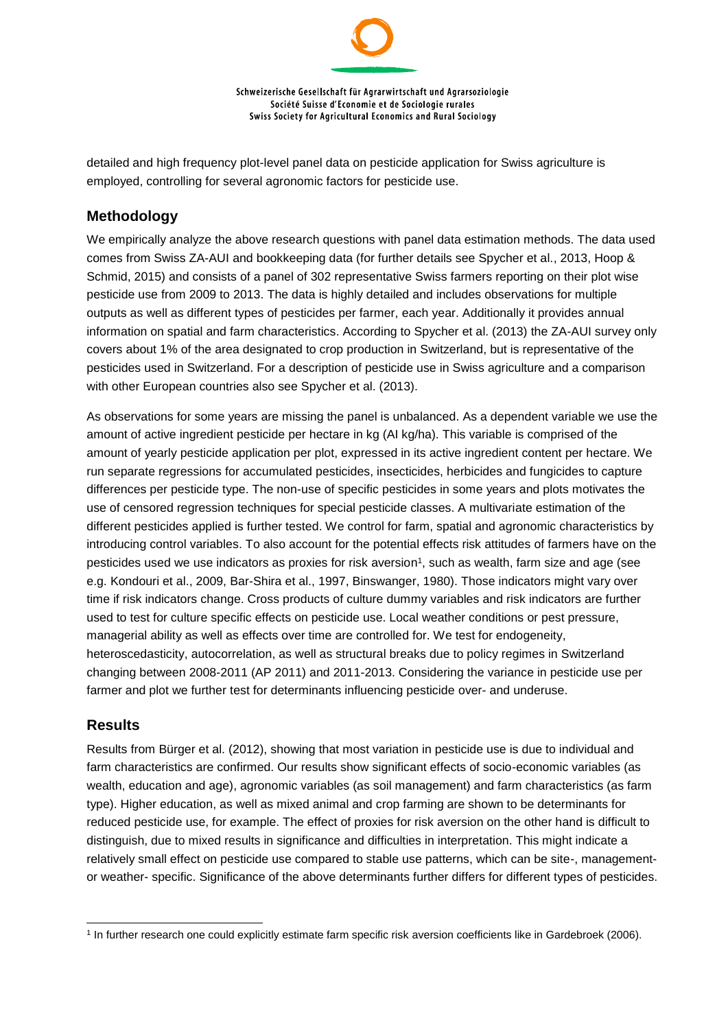Schweizerische Gesellschaft für Agrarwirtschaft und Agrarsoziologie Société Suisse d'Economie et de Sociologie rurales Swiss Society for Agricultural Economics and Rural Sociology

detailed and high frequency plot-level panel data on pesticide application for Swiss agriculture is employed, controlling for several agronomic factors for pesticide use.

#### **Methodology**

We empirically analyze the above research questions with panel data estimation methods. The data used comes from Swiss ZA-AUI and bookkeeping data (for further details see Spycher et al., 2013, Hoop & Schmid, 2015) and consists of a panel of 302 representative Swiss farmers reporting on their plot wise pesticide use from 2009 to 2013. The data is highly detailed and includes observations for multiple outputs as well as different types of pesticides per farmer, each year. Additionally it provides annual information on spatial and farm characteristics. According to Spycher et al. (2013) the ZA-AUI survey only covers about 1% of the area designated to crop production in Switzerland, but is representative of the pesticides used in Switzerland. For a description of pesticide use in Swiss agriculture and a comparison with other European countries also see Spycher et al. (2013).

As observations for some years are missing the panel is unbalanced. As a dependent variable we use the amount of active ingredient pesticide per hectare in kg (AI kg/ha). This variable is comprised of the amount of yearly pesticide application per plot, expressed in its active ingredient content per hectare. We run separate regressions for accumulated pesticides, insecticides, herbicides and fungicides to capture differences per pesticide type. The non-use of specific pesticides in some years and plots motivates the use of censored regression techniques for special pesticide classes. A multivariate estimation of the different pesticides applied is further tested. We control for farm, spatial and agronomic characteristics by introducing control variables. To also account for the potential effects risk attitudes of farmers have on the pesticides used we use indicators as proxies for risk aversion 1 , such as wealth, farm size and age (see e.g. Kondouri et al., 2009, Bar-Shira et al., 1997, Binswanger, 1980). Those indicators might vary over time if risk indicators change. Cross products of culture dummy variables and risk indicators are further used to test for culture specific effects on pesticide use. Local weather conditions or pest pressure, managerial ability as well as effects over time are controlled for. We test for endogeneity, heteroscedasticity, autocorrelation, as well as structural breaks due to policy regimes in Switzerland changing between 2008-2011 (AP 2011) and 2011-2013. Considering the variance in pesticide use per farmer and plot we further test for determinants influencing pesticide over- and underuse.

#### **Results**

l

Results from Bürger et al. (2012), showing that most variation in pesticide use is due to individual and farm characteristics are confirmed. Our results show significant effects of socio-economic variables (as wealth, education and age), agronomic variables (as soil management) and farm characteristics (as farm type). Higher education, as well as mixed animal and crop farming are shown to be determinants for reduced pesticide use, for example. The effect of proxies for risk aversion on the other hand is difficult to distinguish, due to mixed results in significance and difficulties in interpretation. This might indicate a relatively small effect on pesticide use compared to stable use patterns, which can be site-, managementor weather- specific. Significance of the above determinants further differs for different types of pesticides.

<sup>1</sup> In further research one could explicitly estimate farm specific risk aversion coefficients like in Gardebroek (2006).